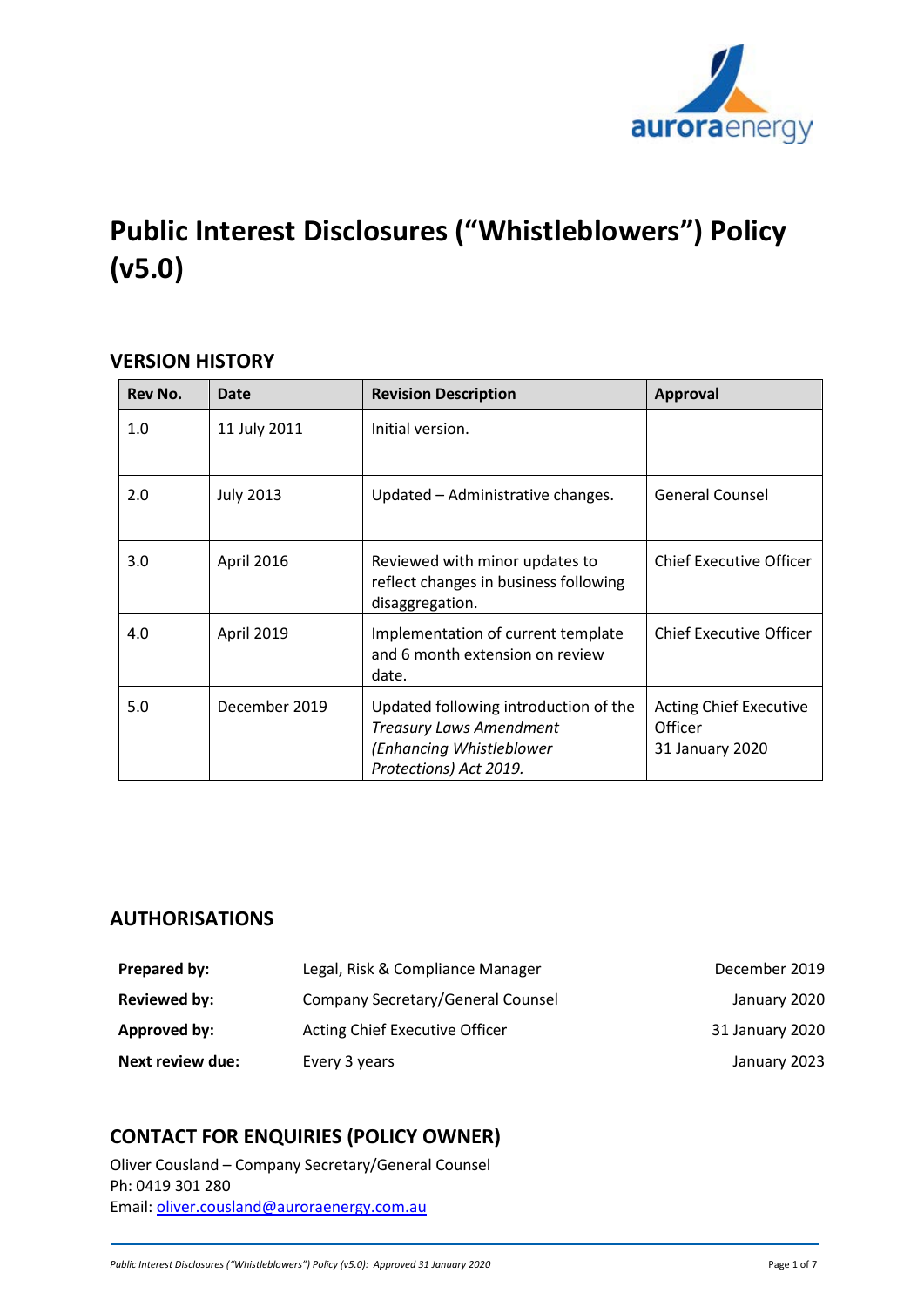

# **Public Interest Disclosures ("Whistleblowers") Policy (v5.0)**

### **VERSION HISTORY**

| Rev No. | <b>Date</b>      | <b>Revision Description</b>                                                                                                   | <b>Approval</b>                                             |
|---------|------------------|-------------------------------------------------------------------------------------------------------------------------------|-------------------------------------------------------------|
| 1.0     | 11 July 2011     | Initial version.                                                                                                              |                                                             |
| 2.0     | <b>July 2013</b> | Updated - Administrative changes.                                                                                             | <b>General Counsel</b>                                      |
| 3.0     | April 2016       | Reviewed with minor updates to<br>reflect changes in business following<br>disaggregation.                                    | <b>Chief Executive Officer</b>                              |
| 4.0     | April 2019       | Implementation of current template<br>and 6 month extension on review<br>date.                                                | <b>Chief Executive Officer</b>                              |
| 5.0     | December 2019    | Updated following introduction of the<br><b>Treasury Laws Amendment</b><br>(Enhancing Whistleblower<br>Protections) Act 2019. | <b>Acting Chief Executive</b><br>Officer<br>31 January 2020 |

# **AUTHORISATIONS**

| Prepared by:            | Legal, Risk & Compliance Manager      | December 2019   |
|-------------------------|---------------------------------------|-----------------|
| Reviewed by:            | Company Secretary/General Counsel     | January 2020    |
| Approved by:            | <b>Acting Chief Executive Officer</b> | 31 January 2020 |
| <b>Next review due:</b> | Every 3 years                         | January 2023    |

# **CONTACT FOR ENQUIRIES (POLICY OWNER)**

Oliver Cousland – Company Secretary/General Counsel Ph: 0419 301 280 Email: [oliver.cousland@auroraenergy.com.au](mailto:oliver.cousland@auroraenergy.com.au)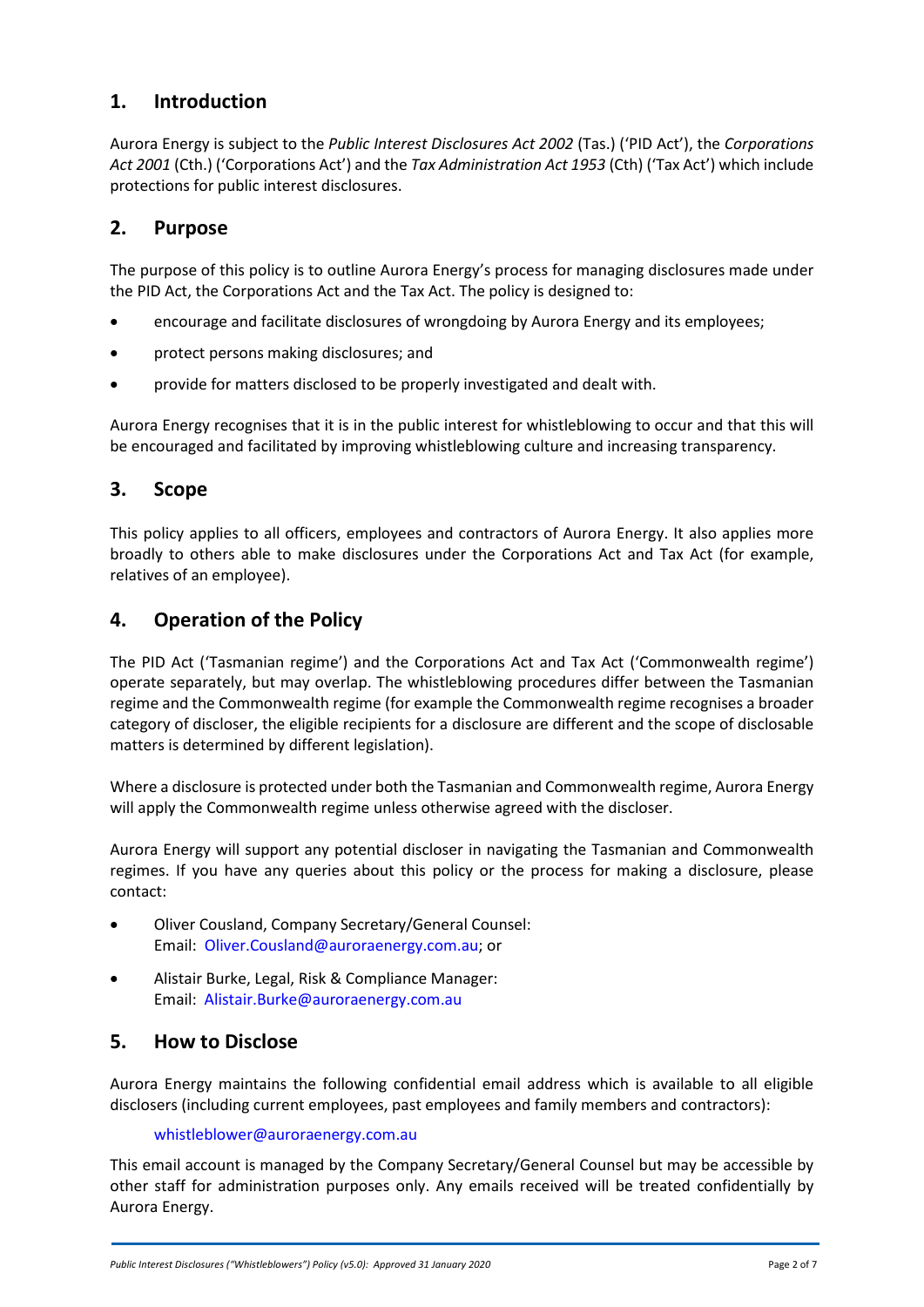# **1. Introduction**

Aurora Energy is subject to the *Public Interest Disclosures Act 2002* (Tas.) ('PID Act'), the *Corporations Act 2001* (Cth.) ('Corporations Act') and the *Tax Administration Act 1953* (Cth) ('Tax Act') which include protections for public interest disclosures.

### **2. Purpose**

The purpose of this policy is to outline Aurora Energy's process for managing disclosures made under the PID Act, the Corporations Act and the Tax Act. The policy is designed to:

- encourage and facilitate disclosures of wrongdoing by Aurora Energy and its employees;
- protect persons making disclosures; and
- provide for matters disclosed to be properly investigated and dealt with.

Aurora Energy recognises that it is in the public interest for whistleblowing to occur and that this will be encouraged and facilitated by improving whistleblowing culture and increasing transparency.

### **3. Scope**

This policy applies to all officers, employees and contractors of Aurora Energy. It also applies more broadly to others able to make disclosures under the Corporations Act and Tax Act (for example, relatives of an employee).

# **4. Operation of the Policy**

The PID Act ('Tasmanian regime') and the Corporations Act and Tax Act ('Commonwealth regime') operate separately, but may overlap. The whistleblowing procedures differ between the Tasmanian regime and the Commonwealth regime (for example the Commonwealth regime recognises a broader category of discloser, the eligible recipients for a disclosure are different and the scope of disclosable matters is determined by different legislation).

Where a disclosure is protected under both the Tasmanian and Commonwealth regime, Aurora Energy will apply the Commonwealth regime unless otherwise agreed with the discloser.

Aurora Energy will support any potential discloser in navigating the Tasmanian and Commonwealth regimes. If you have any queries about this policy or the process for making a disclosure, please contact:

- Oliver Cousland, Company Secretary/General Counsel: Email: Oliver.Cousland@auroraenergy.com.au; or
- Alistair Burke, Legal, Risk & Compliance Manager: Email: Alistair.Burke@auroraenergy.com.au

### **5. How to Disclose**

Aurora Energy maintains the following confidential email address which is available to all eligible disclosers (including current employees, past employees and family members and contractors):

#### whistleblower@auroraenergy.com.au

This email account is managed by the Company Secretary/General Counsel but may be accessible by other staff for administration purposes only. Any emails received will be treated confidentially by Aurora Energy.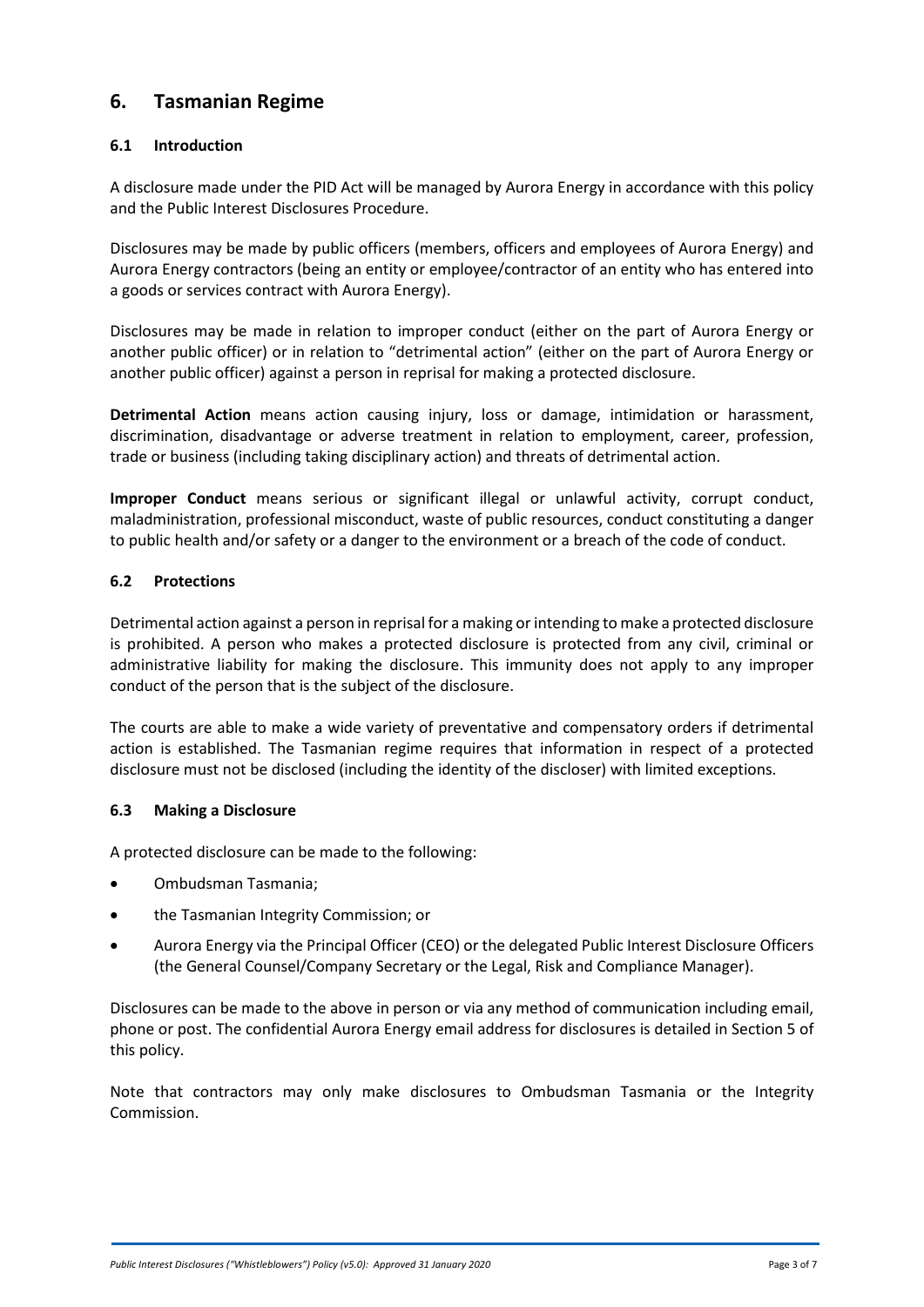# **6. Tasmanian Regime**

#### **6.1 Introduction**

A disclosure made under the PID Act will be managed by Aurora Energy in accordance with this policy and the Public Interest Disclosures Procedure.

Disclosures may be made by public officers (members, officers and employees of Aurora Energy) and Aurora Energy contractors (being an entity or employee/contractor of an entity who has entered into a goods or services contract with Aurora Energy).

Disclosures may be made in relation to improper conduct (either on the part of Aurora Energy or another public officer) or in relation to "detrimental action" (either on the part of Aurora Energy or another public officer) against a person in reprisal for making a protected disclosure.

**Detrimental Action** means action causing injury, loss or damage, intimidation or harassment, discrimination, disadvantage or adverse treatment in relation to employment, career, profession, trade or business (including taking disciplinary action) and threats of detrimental action.

**Improper Conduct** means serious or significant illegal or unlawful activity, corrupt conduct, maladministration, professional misconduct, waste of public resources, conduct constituting a danger to public health and/or safety or a danger to the environment or a breach of the code of conduct.

#### **6.2 Protections**

Detrimental action against a person in reprisal for a making or intending to make a protected disclosure is prohibited. A person who makes a protected disclosure is protected from any civil, criminal or administrative liability for making the disclosure. This immunity does not apply to any improper conduct of the person that is the subject of the disclosure.

The courts are able to make a wide variety of preventative and compensatory orders if detrimental action is established. The Tasmanian regime requires that information in respect of a protected disclosure must not be disclosed (including the identity of the discloser) with limited exceptions.

#### **6.3 Making a Disclosure**

A protected disclosure can be made to the following:

- Ombudsman Tasmania;
- the Tasmanian Integrity Commission; or
- Aurora Energy via the Principal Officer (CEO) or the delegated Public Interest Disclosure Officers (the General Counsel/Company Secretary or the Legal, Risk and Compliance Manager).

Disclosures can be made to the above in person or via any method of communication including email, phone or post. The confidential Aurora Energy email address for disclosures is detailed in Section 5 of this policy.

Note that contractors may only make disclosures to Ombudsman Tasmania or the Integrity Commission.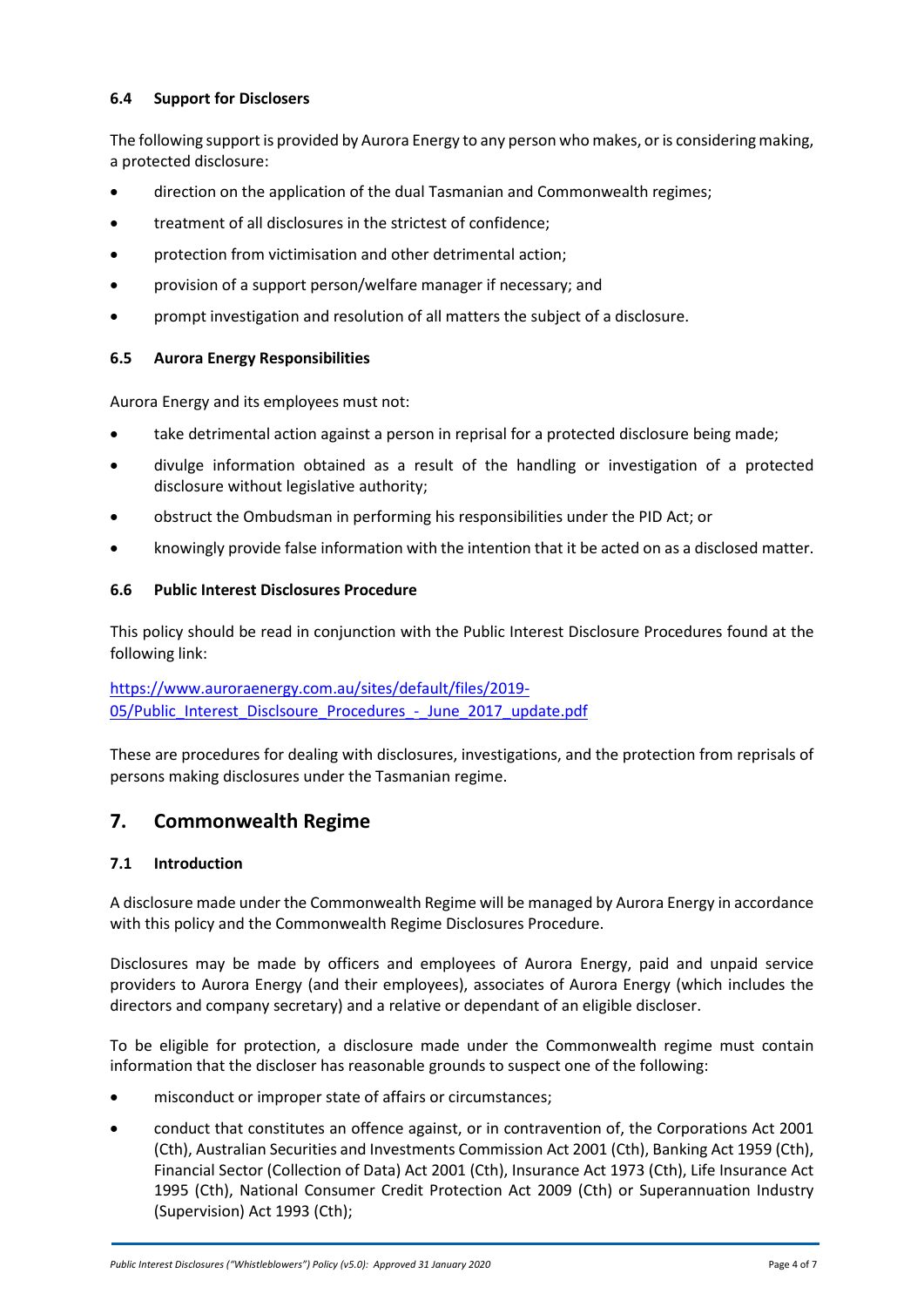#### **6.4 Support for Disclosers**

The following support is provided by Aurora Energy to any person who makes, or is considering making, a protected disclosure:

- direction on the application of the dual Tasmanian and Commonwealth regimes;
- treatment of all disclosures in the strictest of confidence;
- protection from victimisation and other detrimental action;
- provision of a support person/welfare manager if necessary; and
- prompt investigation and resolution of all matters the subject of a disclosure.

#### **6.5 Aurora Energy Responsibilities**

Aurora Energy and its employees must not:

- take detrimental action against a person in reprisal for a protected disclosure being made;
- divulge information obtained as a result of the handling or investigation of a protected disclosure without legislative authority;
- obstruct the Ombudsman in performing his responsibilities under the PID Act; or
- knowingly provide false information with the intention that it be acted on as a disclosed matter.

#### **6.6 Public Interest Disclosures Procedure**

This policy should be read in conjunction with the Public Interest Disclosure Procedures found at the following link:

[https://www.auroraenergy.com.au/sites/default/files/2019-](https://www.auroraenergy.com.au/sites/default/files/2019-05/Public_Interest_Disclsoure_Procedures_-_June_2017_update.pdf) [05/Public\\_Interest\\_Disclsoure\\_Procedures\\_-\\_June\\_2017\\_update.pdf](https://www.auroraenergy.com.au/sites/default/files/2019-05/Public_Interest_Disclsoure_Procedures_-_June_2017_update.pdf)

These are procedures for dealing with disclosures, investigations, and the protection from reprisals of persons making disclosures under the Tasmanian regime.

### **7. Commonwealth Regime**

#### **7.1 Introduction**

A disclosure made under the Commonwealth Regime will be managed by Aurora Energy in accordance with this policy and the Commonwealth Regime Disclosures Procedure.

Disclosures may be made by officers and employees of Aurora Energy, paid and unpaid service providers to Aurora Energy (and their employees), associates of Aurora Energy (which includes the directors and company secretary) and a relative or dependant of an eligible discloser.

To be eligible for protection, a disclosure made under the Commonwealth regime must contain information that the discloser has reasonable grounds to suspect one of the following:

- misconduct or improper state of affairs or circumstances;
- conduct that constitutes an offence against, or in contravention of, the Corporations Act 2001 (Cth), Australian Securities and Investments Commission Act 2001 (Cth), Banking Act 1959 (Cth), Financial Sector (Collection of Data) Act 2001 (Cth), Insurance Act 1973 (Cth), Life Insurance Act 1995 (Cth), National Consumer Credit Protection Act 2009 (Cth) or Superannuation Industry (Supervision) Act 1993 (Cth);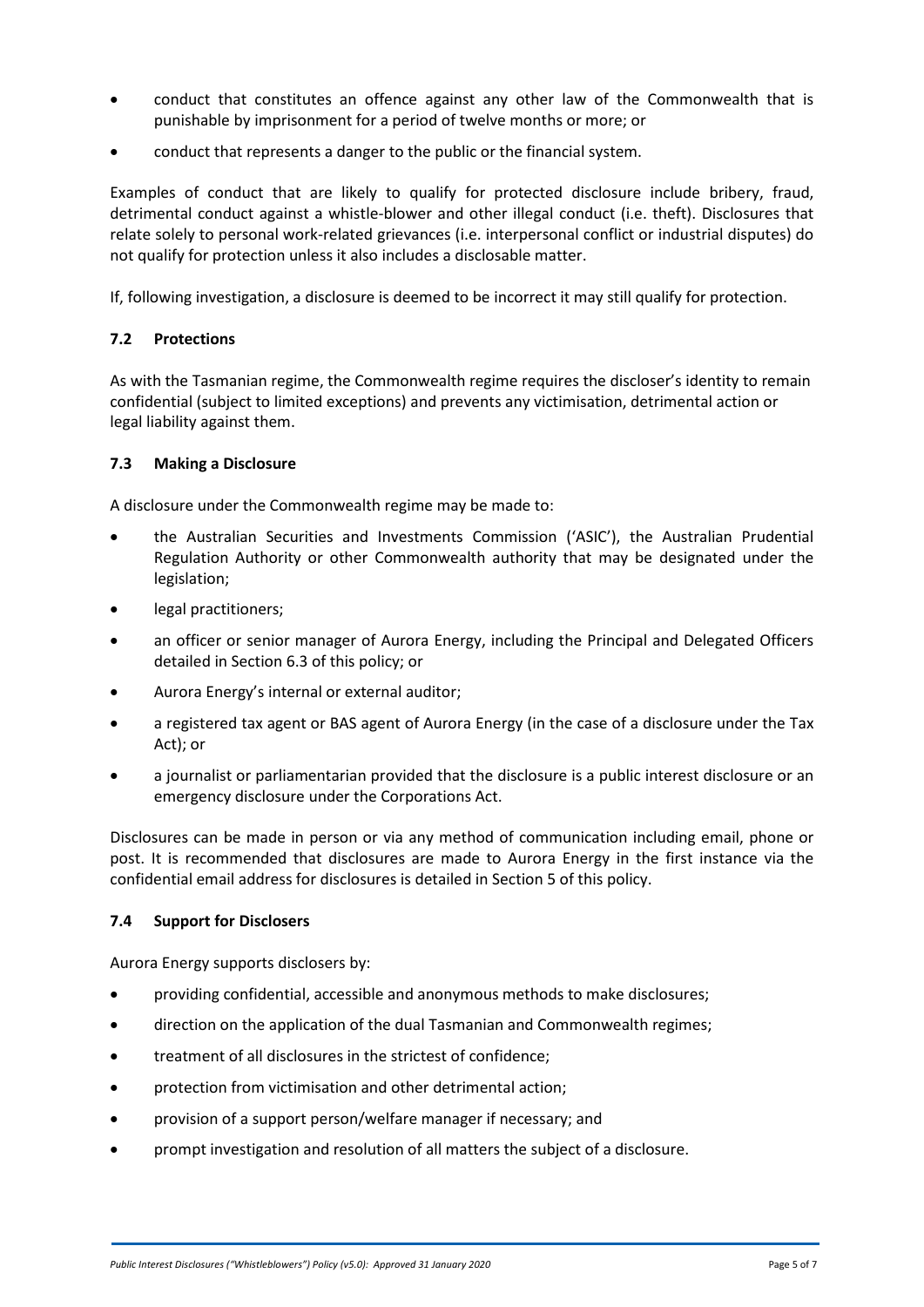- conduct that constitutes an offence against any other law of the Commonwealth that is punishable by imprisonment for a period of twelve months or more; or
- conduct that represents a danger to the public or the financial system.

Examples of conduct that are likely to qualify for protected disclosure include bribery, fraud, detrimental conduct against a whistle-blower and other illegal conduct (i.e. theft). Disclosures that relate solely to personal work-related grievances (i.e. interpersonal conflict or industrial disputes) do not qualify for protection unless it also includes a disclosable matter.

If, following investigation, a disclosure is deemed to be incorrect it may still qualify for protection.

#### **7.2 Protections**

As with the Tasmanian regime, the Commonwealth regime requires the discloser's identity to remain confidential (subject to limited exceptions) and prevents any victimisation, detrimental action or legal liability against them.

#### **7.3 Making a Disclosure**

A disclosure under the Commonwealth regime may be made to:

- the Australian Securities and Investments Commission ('ASIC'), the Australian Prudential Regulation Authority or other Commonwealth authority that may be designated under the legislation;
- legal practitioners:
- an officer or senior manager of Aurora Energy, including the Principal and Delegated Officers detailed in Section 6.3 of this policy; or
- Aurora Energy's internal or external auditor;
- a registered tax agent or BAS agent of Aurora Energy (in the case of a disclosure under the Tax Act); or
- a journalist or parliamentarian provided that the disclosure is a public interest disclosure or an emergency disclosure under the Corporations Act.

Disclosures can be made in person or via any method of communication including email, phone or post. It is recommended that disclosures are made to Aurora Energy in the first instance via the confidential email address for disclosures is detailed in Section 5 of this policy.

#### **7.4 Support for Disclosers**

Aurora Energy supports disclosers by:

- providing confidential, accessible and anonymous methods to make disclosures;
- direction on the application of the dual Tasmanian and Commonwealth regimes;
- treatment of all disclosures in the strictest of confidence;
- protection from victimisation and other detrimental action;
- provision of a support person/welfare manager if necessary; and
- prompt investigation and resolution of all matters the subject of a disclosure.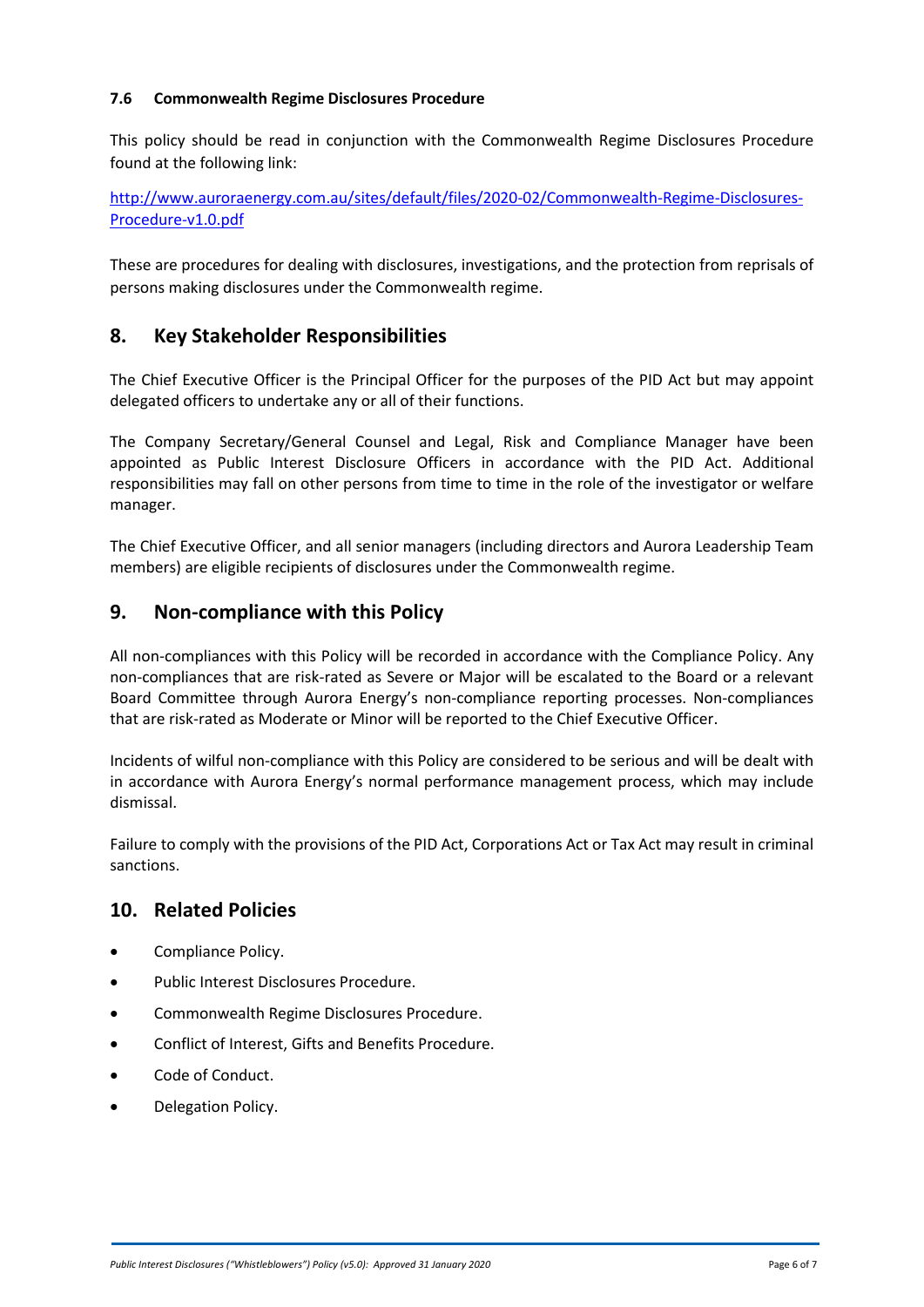#### **7.6 Commonwealth Regime Disclosures Procedure**

This policy should be read in conjunction with the Commonwealth Regime Disclosures Procedure found at the following link:

[http://www.auroraenergy.com.au/sites/default/files/2020-02/Commonwealth-Regime-Disclosures-](http://www.auroraenergy.com.au/sites/default/files/2020-02/Commonwealth-Regime-Disclosures-Procedure-v1.0.pdf)[Procedure-v1.0.pdf](http://www.auroraenergy.com.au/sites/default/files/2020-02/Commonwealth-Regime-Disclosures-Procedure-v1.0.pdf) 

These are procedures for dealing with disclosures, investigations, and the protection from reprisals of persons making disclosures under the Commonwealth regime.

### **8. Key Stakeholder Responsibilities**

The Chief Executive Officer is the Principal Officer for the purposes of the PID Act but may appoint delegated officers to undertake any or all of their functions.

The Company Secretary/General Counsel and Legal, Risk and Compliance Manager have been appointed as Public Interest Disclosure Officers in accordance with the PID Act. Additional responsibilities may fall on other persons from time to time in the role of the investigator or welfare manager.

The Chief Executive Officer, and all senior managers (including directors and Aurora Leadership Team members) are eligible recipients of disclosures under the Commonwealth regime.

### **9. Non-compliance with this Policy**

All non-compliances with this Policy will be recorded in accordance with the Compliance Policy. Any non-compliances that are risk-rated as Severe or Major will be escalated to the Board or a relevant Board Committee through Aurora Energy's non-compliance reporting processes. Non-compliances that are risk-rated as Moderate or Minor will be reported to the Chief Executive Officer.

Incidents of wilful non-compliance with this Policy are considered to be serious and will be dealt with in accordance with Aurora Energy's normal performance management process, which may include dismissal.

Failure to comply with the provisions of the PID Act, Corporations Act or Tax Act may result in criminal sanctions.

# **10. Related Policies**

- Compliance Policy.
- Public Interest Disclosures Procedure.
- Commonwealth Regime Disclosures Procedure.
- Conflict of Interest, Gifts and Benefits Procedure.
- Code of Conduct.
- Delegation Policy.